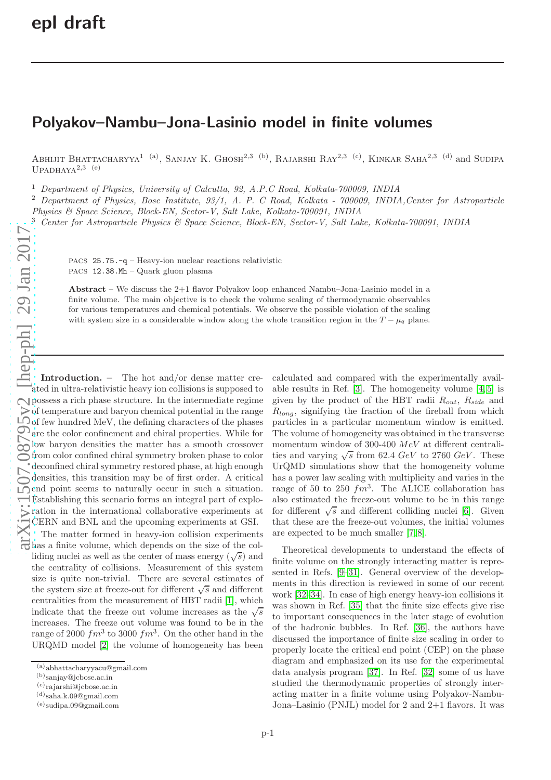## Polyakov–Nambu–Jona-Lasinio model in finite volumes

Abhijit Bhattacharyya<sup>1 (a)</sup>, Sanjay K. Ghosh<sup>2,3 (b)</sup>, Rajarshi Ray<sup>2,3 (c)</sup>, Kinkar Saha<sup>2,3 (d)</sup> and Sudipa  $UPADHAYA<sup>2,3</sup>$  (e)

<sup>1</sup> Department of Physics, University of Calcutta, 92, A.P.C Road, Kolkata-700009, INDIA

<sup>2</sup> Department of Physics, Bose Institute, 93/1, A. P. C Road, Kolkata - 700009, INDIA, Center for Astroparticle

Physics & Space Science, Block-EN, Sector-V, Salt Lake, Kolkata-700091, INDIA

<sup>3</sup> Center for Astroparticle Physics & Space Science, Block-EN, Sector-V, Salt Lake, Kolkata-700091, INDIA

PACS 25.75.-q – Heavy-ion nuclear reactions relativistic PACS 12.38.Mh – Quark gluon plasma

Abstract – We discuss the  $2+1$  flavor Polyakov loop enhanced Nambu–Jona-Lasinio model in a finite volume. The main objective is to check the volume scaling of thermodynamic observables for various temperatures and chemical potentials. We observe the possible violation of the scaling with system size in a considerable window along the whole transition region in the  $T - \mu_q$  plane.

Introduction. – The hot and/or dense matter created in ultra-relativistic heavy ion collisions is supposed to possess a rich phase structure. In the intermediate regime  $\geq$  of temperature and baryon chemical potential in the range  $\bigcirc$  of few hundred MeV, the defining characters of the phases are the color confinement and chiral properties. While for low baryon densities the matter has a smooth crossover from color confined chiral symmetry broken phase to color deconfined chiral symmetry restored phase, at high enough densities, this transition may be of first order. A critical  $\overline{\mathcal{P}}$  end point seems to naturally occur in such a situation. Establishing this scenario forms an integral part of exploration in the international collaborative experiments at CERN and BNL and the upcoming experiments at GSI. The matter formed in heavy-ion collision experiments has a finite volume, which depends on the size of the colliding nuclei as well as the center of mass energy  $(\sqrt{s})$  and the centrality of collisions. Measurement of this system size is quite non-trivial. There are several estimates of the system size at freeze-out for different  $\sqrt{s}$  and different centralities from the measurement of HBT radii [\[1\]](#page-5-0), which indicate that the freeze out volume increases as the  $\sqrt{s}$ increases. The freeze out volume was found to be in the range of 2000  $fm^3$  to 3000  $fm^3$ . On the other hand in the URQMD model [\[2\]](#page-5-1) the volume of homogeneity has been

calculated and compared with the experimentally available results in Ref. [\[3\]](#page-5-2). The homogeneity volume [\[4,](#page-5-3) [5\]](#page-5-4) is given by the product of the HBT radii  $R_{out}$ ,  $R_{side}$  and  $R_{long}$ , signifying the fraction of the fireball from which particles in a particular momentum window is emitted. The volume of homogeneity was obtained in the transverse momentum window of 300-400  $MeV$  at different centralities and varying  $\sqrt{s}$  from 62.4 GeV to 2760 GeV. These UrQMD simulations show that the homogeneity volume has a power law scaling with multiplicity and varies in the range of 50 to 250  $fm^3$ . The ALICE collaboration has also estimated the freeze-out volume to be in this range for different  $\sqrt{s}$  and different colliding nuclei [\[6\]](#page-5-5). Given that these are the freeze-out volumes, the initial volumes are expected to be much smaller [\[7,](#page-5-6) [8\]](#page-5-7).

Theoretical developments to understand the effects of finite volume on the strongly interacting matter is represented in Refs. [\[9](#page-5-8)[–31\]](#page-6-0). General overview of the developments in this direction is reviewed in some of our recent work [\[32–](#page-6-1)[34\]](#page-6-2). In case of high energy heavy-ion collisions it was shown in Ref. [\[35\]](#page-6-3) that the finite size effects give rise to important consequences in the later stage of evolution of the hadronic bubbles. In Ref. [\[36\]](#page-6-4), the authors have discussed the importance of finite size scaling in order to properly locate the critical end point (CEP) on the phase diagram and emphasized on its use for the experimental data analysis program [\[37\]](#page-6-5). In Ref. [\[32\]](#page-6-1) some of us have studied the thermodynamic properties of strongly interacting matter in a finite volume using Polyakov-Nambu-Jona–Lasinio (PNJL) model for 2 and 2+1 flavors. It was

<sup>(</sup>a)abhattacharyyacu@gmail.com

<sup>(</sup>b)sanjay@jcbose.ac.in

 $(c)$ rajarshi@jcbose.ac.in

<sup>(</sup>d)saha.k.09@gmail.com

<sup>(</sup>e)sudipa.09@gmail.com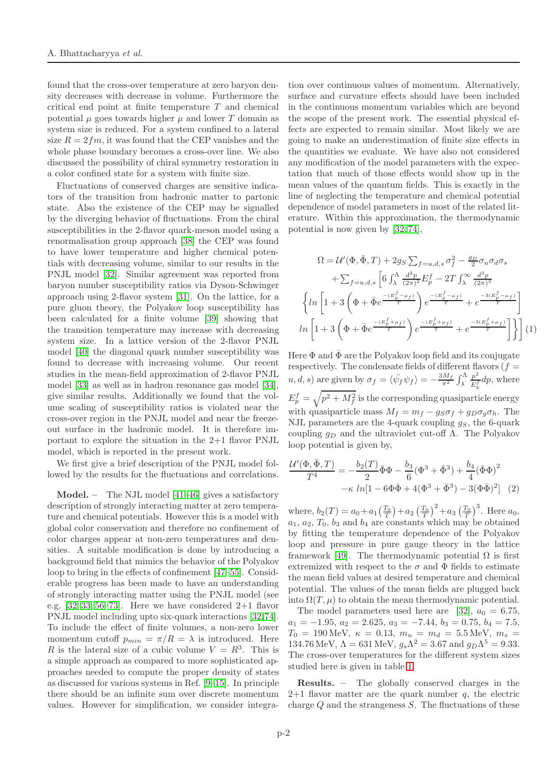found that the cross-over temperature at zero baryon density decreases with decrease in volume. Furthermore the critical end point at finite temperature T and chemical potential  $\mu$  goes towards higher  $\mu$  and lower T domain as system size is reduced. For a system confined to a lateral size  $R = 2 fm$ , it was found that the CEP vanishes and the whole phase boundary becomes a cross-over line. We also discussed the possibility of chiral symmetry restoration in a color confined state for a system with finite size.

Fluctuations of conserved charges are sensitive indicators of the transition from hadronic matter to partonic state. Also the existence of the CEP may be signalled by the diverging behavior of fluctuations. From the chiral susceptibilities in the 2-flavor quark-meson model using a renormalisation group approach [\[38\]](#page-6-6) the CEP was found to have lower temperature and higher chemical potentials with decreasing volume, similar to our results in the PNJL model [\[32\]](#page-6-1). Similar agreement was reported from baryon number susceptibility ratios via Dyson-Schwinger approach using 2-flavor system [\[31\]](#page-6-0). On the lattice, for a pure gluon theory, the Polyakov loop susceptibility has been calculated for a finite volume [\[39\]](#page-6-7) showing that the transition temperature may increase with decreasing system size. In a lattice version of the 2-flavor PNJL model [\[40\]](#page-6-8) the diagonal quark number susceptibility was found to decrease with increasing volume. Our recent studies in the mean-field approximation of 2-flavor PNJL model [\[33\]](#page-6-9) as well as in hadron resonance gas model [\[34\]](#page-6-2), give similar results. Additionally we found that the volume scaling of susceptibility ratios is violated near the cross-over region in the PNJL model and near the freezeout surface in the hadronic model. It is therefore important to explore the situation in the 2+1 flavor PNJL model, which is reported in the present work.

We first give a brief description of the PNJL model followed by the results for the fluctuations and correlations.

Model. – The NJL model [\[41–](#page-6-10)[46\]](#page-6-11) gives a satisfactory description of strongly interacting matter at zero temperature and chemical potentials. However this is a model with global color conservation and therefore no confinement of color charges appear at non-zero temperatures and densities. A suitable modification is done by introducing a background field that mimics the behavior of the Polyakov loop to bring in the effects of confinement [\[47](#page-6-12)[–55\]](#page-6-13). Considerable progress has been made to have an understanding of strongly interacting matter using the PNJL model (see e.g.  $[32, 33, 56-73]$  $[32, 33, 56-73]$  $[32, 33, 56-73]$  $[32, 33, 56-73]$ . Here we have considered  $2+1$  flavor PNJL model including upto six-quark interactions [\[32,](#page-6-1)[74\]](#page-6-16). To include the effect of finite volumes, a non-zero lower momentum cutoff  $p_{min} = \pi/R = \lambda$  is introduced. Here R is the lateral size of a cubic volume  $V = R<sup>3</sup>$ . This is a simple approach as compared to more sophisticated approaches needed to compute the proper density of states as discussed for various systems in Ref. [\[9](#page-5-8)[–15\]](#page-5-9). In principle there should be an infinite sum over discrete momentum values. However for simplification, we consider integra-

tion over continuous values of momentum. Alternatively, surface and curvature effects should have been included in the continuous momentum variables which are beyond the scope of the present work. The essential physical effects are expected to remain similar. Most likely we are going to make an underestimation of finite size effects in the quantities we evaluate. We have also not considered any modification of the model parameters with the expectation that much of those effects would show up in the mean values of the quantum fields. This is exactly in the line of neglecting the temperature and chemical potential dependence of model parameters in most of the related literature. Within this approximation, the thermodynamic potential is now given by [\[32,](#page-6-1) [74\]](#page-6-16),

$$
\Omega = \mathcal{U}'(\Phi, \bar{\Phi}, T) + 2g_S \sum_{f=u,d,s} \sigma_f^2 - \frac{g_D}{2} \sigma_u \sigma_d \sigma_s \n+ \sum_{f=u,d,s} \left[ 6 \int_{\lambda}^{\Lambda} \frac{d^3 p}{(2\pi)^2} E_p^f - 2T \int_{\lambda}^{\infty} \frac{d^3 p}{(2\pi)^3} \n\left\{ \ln \left[ 1 + 3 \left( \Phi + \bar{\Phi} e^{\frac{-(E_p^f - \mu_f)}{T}} \right) e^{\frac{-(E_p^f - \mu_f)}{T}} + e^{\frac{-3(E_p^f - \mu_f)}{T}} \right] \right\} \n\ln \left[ 1 + 3 \left( \Phi + \bar{\Phi} e^{\frac{-(E_p^f + \mu_f)}{T}} \right) e^{\frac{-(E_p^f + \mu_f)}{T}} + e^{\frac{-3(E_p^f + \mu_f)}{T}} \right] \right\} (1)
$$

Here  $\Phi$  and  $\bar{\Phi}$  are the Polyakov loop field and its conjugate respectively. The condensate fields of different flavors  $(f =$  $u, d, s$  are given by  $\sigma_f = \langle \bar{\psi_f} \psi_f \rangle = -\frac{3M_f}{\pi^2} \int_{\lambda}^{\Lambda}$  $p^2$  $\frac{p}{E_p^f}dp$ , where  $E_p^f = \sqrt{p^2 + M_f^2}$  is the corresponding quasiparticle energy with quasiparticle mass  $M_f = m_f - g_S \sigma_f + g_D \sigma_q \sigma_h$ . The NJL parameters are the 4-quark coupling  $q<sub>S</sub>$ , the 6-quark coupling  $q_D$  and the ultraviolet cut-off  $\Lambda$ . The Polyakov loop potential is given by,

$$
\frac{\mathcal{U}'(\Phi, \bar{\Phi}, T)}{T^4} = -\frac{b_2(T)}{2} \bar{\Phi}\Phi - \frac{b_3}{6} (\Phi^3 + \bar{\Phi}^3) + \frac{b_4}{4} (\bar{\Phi}\Phi)^2 -\kappa \ln[1 - 6\Phi\bar{\Phi} + 4(\Phi^3 + \bar{\Phi}^3) - 3(\Phi\bar{\Phi})^2]
$$
 (2)

where,  $b_2(T) = a_0 + a_1 \left(\frac{T_0}{T}\right) + a_2 \left(\frac{T_0}{T}\right)^2 + a_3 \left(\frac{T_0}{T}\right)^3$ . Here  $a_0$ ,  $a_1, a_2, T_0, b_3$  and  $b_4$  are constants which may be obtained by fitting the temperature dependence of the Polyakov loop and pressure in pure gauge theory in the lattice framework [\[49\]](#page-6-17). The thermodynamic potential  $\Omega$  is first extremized with respect to the  $\sigma$  and  $\Phi$  fields to estimate the mean field values at desired temperature and chemical potential. The values of the mean fields are plugged back into  $\Omega(T,\mu)$  to obtain the mean thermodynamic potential.

The model parameters used here are [\[32\]](#page-6-1),  $a_0 = 6.75$ ,  $a_1 = -1.95, a_2 = 2.625, a_3 = -7.44, b_3 = 0.75, b_4 = 7.5,$  $T_0 = 190 \text{ MeV}, \ \kappa = 0.13, \ m_u = m_d = 5.5 \text{ MeV}, \ m_s =$ 134.76 MeV,  $\Lambda = 631 \text{ MeV}$ ,  $g_s \Lambda^2 = 3.67 \text{ and } g_D \Lambda^5 = 9.33$ . The cross-over temperatures for the different system sizes studied here is given in table [1.](#page-2-0)

Results. – The globally conserved charges in the  $2+1$  flavor matter are the quark number q, the electric charge  $Q$  and the strangeness  $S$ . The fluctuations of these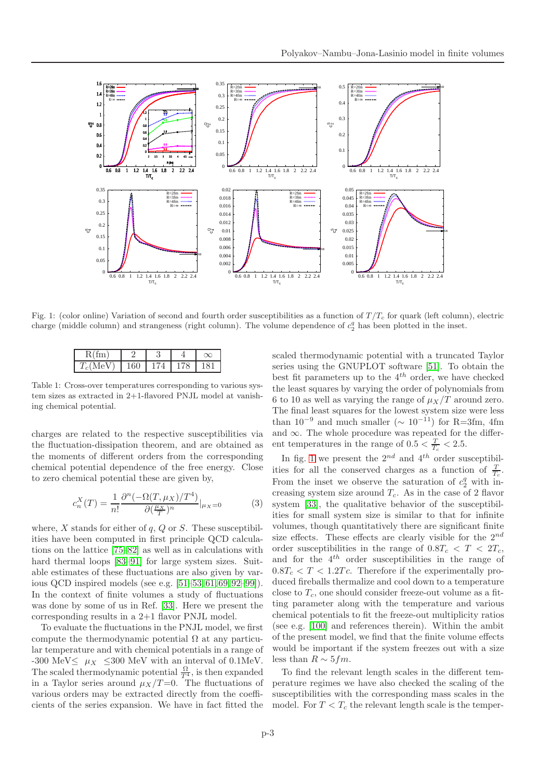

<span id="page-2-1"></span>Fig. 1: (color online) Variation of second and fourth order susceptibilities as a function of  $T/T_c$  for quark (left column), electric charge (middle column) and strangeness (right column). The volume dependence of  $c_2^q$  has been plotted in the inset.

| $\cdots$ | $\mathsf{L}'$ |  |
|----------|---------------|--|

<span id="page-2-0"></span>Table 1: Cross-over temperatures corresponding to various system sizes as extracted in 2+1-flavored PNJL model at vanishing chemical potential.

charges are related to the respective susceptibilities via the fluctuation-dissipation theorem, and are obtained as the moments of different orders from the corresponding chemical potential dependence of the free energy. Close to zero chemical potential these are given by,

$$
c_n^X(T) = \frac{1}{n!} \frac{\partial^n (-\Omega(T, \mu_X)/T^4)}{\partial(\frac{\mu_X}{T})^n} |_{\mu_X=0}
$$
 (3)

where,  $X$  stands for either of  $q$ ,  $Q$  or  $S$ . These susceptibilities have been computed in first principle QCD calculations on the lattice [\[75–](#page-6-18)[82\]](#page-6-19) as well as in calculations with hard thermal loops [\[83–](#page-6-20)[91\]](#page-6-21) for large system sizes. Suitable estimates of these fluctuations are also given by various QCD inspired models (see e.g. [\[51–](#page-6-22)[53,](#page-6-23) [61,](#page-6-24) [69,](#page-6-25) [92–](#page-6-26)[99\]](#page-6-27)). In the context of finite volumes a study of fluctuations was done by some of us in Ref. [\[33\]](#page-6-9). Here we present the corresponding results in a 2+1 flavor PNJL model.

To evaluate the fluctuations in the PNJL model, we first compute the thermodynamic potential  $\Omega$  at any particular temperature and with chemical potentials in a range of -300 MeV $\leq \mu_X \leq 300$  MeV with an interval of 0.1MeV. The scaled thermodynamic potential  $\frac{\Omega}{T^4}$ , is then expanded in a Taylor series around  $\mu_X/T=0$ . The fluctuations of various orders may be extracted directly from the coefficients of the series expansion. We have in fact fitted the

scaled thermodynamic potential with a truncated Taylor series using the GNUPLOT software [\[51\]](#page-6-22). To obtain the best fit parameters up to the  $4^{th}$  order, we have checked the least squares by varying the order of polynomials from 6 to 10 as well as varying the range of  $\mu_X/T$  around zero. The final least squares for the lowest system size were less than  $10^{-9}$  and much smaller ( $\sim 10^{-11}$ ) for R=3fm, 4fm and  $\infty$ . The whole procedure was repeated for the different temperatures in the range of  $0.5 < \frac{T}{T_c} < 2.5$ .

In fig. [1](#page-2-1) we present the  $2^{nd}$  and  $4^{th}$  order susceptibilities for all the conserved charges as a function of  $\frac{T}{T_c}$ . From the inset we observe the saturation of  $c_2^q$  with increasing system size around  $T_c$ . As in the case of 2 flavor system [\[33\]](#page-6-9), the qualitative behavior of the susceptibilities for small system size is similar to that for infinite volumes, though quantitatively there are significant finite size effects. These effects are clearly visible for the  $2^{nd}$ order susceptibilities in the range of  $0.8T_c < T < 2T_c$ , and for the  $4^{th}$  order susceptibilities in the range of  $0.8T_c < T < 1.2Tc$ . Therefore if the experimentally produced fireballs thermalize and cool down to a temperature close to  $T_c$ , one should consider freeze-out volume as a fitting parameter along with the temperature and various chemical potentials to fit the freeze-out multiplicity ratios (see e.g. [\[100\]](#page-6-28) and references therein). Within the ambit of the present model, we find that the finite volume effects would be important if the system freezes out with a size less than  $R \sim 5 fm$ .

To find the relevant length scales in the different temperature regimes we have also checked the scaling of the susceptibilities with the corresponding mass scales in the model. For  $T < T_c$  the relevant length scale is the temper-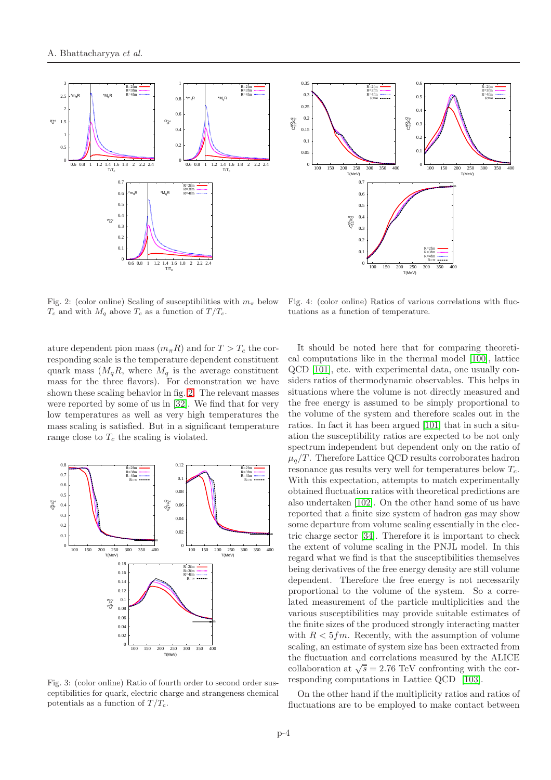

 0  $0.05$  0.1  $0.1$  $\overline{0}$ .  $0.2$  $0.3$  $0.35$  100 150 200 250 300 350 400 CqQ11/c q 2T(MeV) R=2fm<br>R=3fm<br>R=4fm<br>R=∞ 0  $\overline{0}$ .  $0.2$  0.3  $\alpha$ .  $0.5$  $0.6$  100 150 200 250 300 350 400 T(MeV) o<br>Creș R=2fm<br>R=3fm<br>R=4fm<br>R=∞ 0  $\overline{0}$ . 0.2 0.3 0.4 0.5  $0.6$  $\overline{0}$ . 100 150 200 250 300 350 400 T(MeV) -CqS11/c q 2SB R=2fm R=3fm R=4fm R=∞

<span id="page-3-0"></span>Fig. 2: (color online) Scaling of susceptibilities with  $m_{\pi}$  below  $T_c$  and with  $M_q$  above  $T_c$  as a function of  $T/T_c$ .

ature dependent pion mass  $(m_{\pi}R)$  and for  $T > T_c$  the corresponding scale is the temperature dependent constituent quark mass  $(M_qR,$  where  $M_q$  is the average constituent mass for the three flavors). For demonstration we have shown these scaling behavior in fig. [2.](#page-3-0) The relevant masses were reported by some of us in [\[32\]](#page-6-1). We find that for very low temperatures as well as very high temperatures the mass scaling is satisfied. But in a significant temperature range close to  $T_c$  the scaling is violated.



<span id="page-3-1"></span>Fig. 3: (color online) Ratio of fourth order to second order susceptibilities for quark, electric charge and strangeness chemical potentials as a function of  $T/T_c$ .

<span id="page-3-2"></span>Fig. 4: (color online) Ratios of various correlations with fluctuations as a function of temperature.

It should be noted here that for comparing theoretical computations like in the thermal model [\[100\]](#page-6-28), lattice QCD [\[101\]](#page-6-29), etc. with experimental data, one usually considers ratios of thermodynamic observables. This helps in situations where the volume is not directly measured and the free energy is assumed to be simply proportional to the volume of the system and therefore scales out in the ratios. In fact it has been argued [\[101\]](#page-6-29) that in such a situation the susceptibility ratios are expected to be not only spectrum independent but dependent only on the ratio of  $\mu_q/T$ . Therefore Lattice QCD results corroborates hadron resonance gas results very well for temperatures below  $T_c$ . With this expectation, attempts to match experimentally obtained fluctuation ratios with theoretical predictions are also undertaken [\[102\]](#page-6-30). On the other hand some of us have reported that a finite size system of hadron gas may show some departure from volume scaling essentially in the electric charge sector [\[34\]](#page-6-2). Therefore it is important to check the extent of volume scaling in the PNJL model. In this regard what we find is that the susceptibilities themselves being derivatives of the free energy density are still volume dependent. Therefore the free energy is not necessarily proportional to the volume of the system. So a correlated measurement of the particle multiplicities and the various susceptibilities may provide suitable estimates of the finite sizes of the produced strongly interacting matter with  $R < 5fm$ . Recently, with the assumption of volume scaling, an estimate of system size has been extracted from the fluctuation and correlations measured by the ALICE collaboration at  $\sqrt{s} = 2.76$  TeV confronting with the corresponding computations in Lattice QCD [\[103\]](#page-6-31).

On the other hand if the multiplicity ratios and ratios of fluctuations are to be employed to make contact between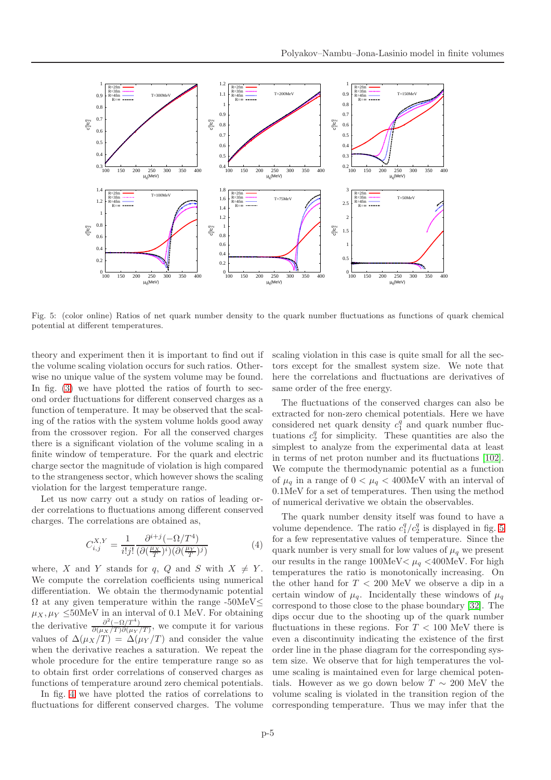

<span id="page-4-0"></span>Fig. 5: (color online) Ratios of net quark number density to the quark number fluctuations as functions of quark chemical potential at different temperatures.

theory and experiment then it is important to find out if the volume scaling violation occurs for such ratios. Otherwise no unique value of the system volume may be found. In fig. [\(3\)](#page-3-1) we have plotted the ratios of fourth to second order fluctuations for different conserved charges as a function of temperature. It may be observed that the scaling of the ratios with the system volume holds good away from the crossover region. For all the conserved charges there is a significant violation of the volume scaling in a finite window of temperature. For the quark and electric charge sector the magnitude of violation is high compared to the strangeness sector, which however shows the scaling violation for the largest temperature range.

Let us now carry out a study on ratios of leading order correlations to fluctuations among different conserved charges. The correlations are obtained as,

$$
C_{i,j}^{X,Y} = \frac{1}{i!j!} \frac{\partial^{i+j} (-\Omega/T^4)}{(\partial(\frac{\mu_X}{T})^i)(\partial(\frac{\mu_Y}{T})^j)}
$$
(4)

where, X and Y stands for q, Q and S with  $X \neq Y$ . We compute the correlation coefficients using numerical differentiation. We obtain the thermodynamic potential  $\Omega$  at any given temperature within the range -50MeV $\leq$  $\mu_X, \mu_Y \leq 50$ MeV in an interval of 0.1 MeV. For obtaining the derivative  $\frac{\partial^2(-\Omega/T^4)}{\partial(\mu_Y/T)\partial(\mu_Y)}$  $\frac{\partial (-\Omega/T)}{\partial (\mu_X/T) \partial (\mu_Y/T)}$ , we compute it for various values of  $\Delta(\mu_X/T) = \Delta(\mu_Y/T)$  and consider the value when the derivative reaches a saturation. We repeat the whole procedure for the entire temperature range so as to obtain first order correlations of conserved charges as functions of temperature around zero chemical potentials.

In fig. [4](#page-3-2) we have plotted the ratios of correlations to fluctuations for different conserved charges. The volume scaling violation in this case is quite small for all the sectors except for the smallest system size. We note that here the correlations and fluctuations are derivatives of same order of the free energy.

The fluctuations of the conserved charges can also be extracted for non-zero chemical potentials. Here we have considered net quark density  $c_1^q$  and quark number fluctuations  $c_2^q$  for simplicity. These quantities are also the simplest to analyze from the experimental data at least in terms of net proton number and its fluctuations [\[102\]](#page-6-30). We compute the thermodynamic potential as a function of  $\mu_q$  in a range of  $0 < \mu_q < 400$ MeV with an interval of 0.1MeV for a set of temperatures. Then using the method of numerical derivative we obtain the observables.

The quark number density itself was found to have a volume dependence. The ratio  $c_1^q/c_2^q$  is displayed in fig. [5](#page-4-0) for a few representative values of temperature. Since the quark number is very small for low values of  $\mu_q$  we present our results in the range  $100MeV < \mu_q < 400MeV$ . For high temperatures the ratio is monotonically increasing. On the other hand for  $T < 200$  MeV we observe a dip in a certain window of  $\mu_q$ . Incidentally these windows of  $\mu_q$ correspond to those close to the phase boundary [\[32\]](#page-6-1). The dips occur due to the shooting up of the quark number fluctuations in these regions. For  $T < 100$  MeV there is even a discontinuity indicating the existence of the first order line in the phase diagram for the corresponding system size. We observe that for high temperatures the volume scaling is maintained even for large chemical potentials. However as we go down below  $T \sim 200$  MeV the volume scaling is violated in the transition region of the corresponding temperature. Thus we may infer that the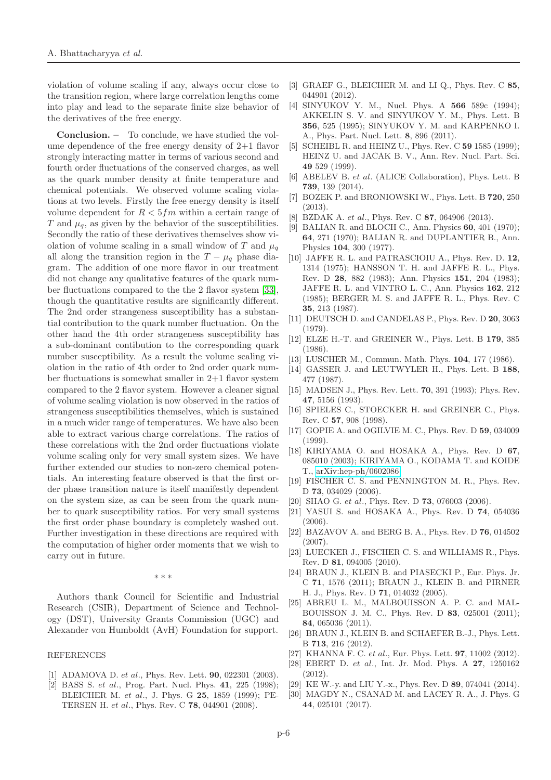violation of volume scaling if any, always occur close to the transition region, where large correlation lengths come into play and lead to the separate finite size behavior of the derivatives of the free energy.

Conclusion. – To conclude, we have studied the volume dependence of the free energy density of 2+1 flavor strongly interacting matter in terms of various second and fourth order fluctuations of the conserved charges, as well as the quark number density at finite temperature and chemical potentials. We observed volume scaling violations at two levels. Firstly the free energy density is itself volume dependent for  $R < 5 fm$  within a certain range of T and  $\mu_a$ , as given by the behavior of the susceptibilities. Secondly the ratio of these derivatives themselves show violation of volume scaling in a small window of T and  $\mu_q$ all along the transition region in the  $T - \mu_q$  phase diagram. The addition of one more flavor in our treatment did not change any qualitative features of the quark number fluctuations compared to the the 2 flavor system [\[33\]](#page-6-9), though the quantitative results are significantly different. The 2nd order strangeness susceptibility has a substantial contribution to the quark number fluctuation. On the other hand the 4th order strangeness susceptibility has a sub-dominant contibution to the corresponding quark number susceptibility. As a result the volume scaling violation in the ratio of 4th order to 2nd order quark number fluctuations is somewhat smaller in 2+1 flavor system compared to the 2 flavor system. However a cleaner signal of volume scaling violation is now observed in the ratios of strangeness susceptibilities themselves, which is sustained in a much wider range of temperatures. We have also been able to extract various charge correlations. The ratios of these correlations with the 2nd order fluctuations violate volume scaling only for very small system sizes. We have further extended our studies to non-zero chemical potentials. An interesting feature observed is that the first order phase transition nature is itself manifestly dependent on the system size, as can be seen from the quark number to quark susceptibility ratios. For very small systems the first order phase boundary is completely washed out. Further investigation in these directions are required with the computation of higher order moments that we wish to carry out in future.

∗ ∗ ∗

Authors thank Council for Scientific and Industrial Research (CSIR), Department of Science and Technology (DST), University Grants Commission (UGC) and Alexander von Humboldt (AvH) Foundation for support.

## REFERENCES

- <span id="page-5-1"></span><span id="page-5-0"></span>[1] ADAMOVA D. et al., Phys. Rev. Lett. **90**, 022301 (2003).
- [2] BASS S. *et al.*, Prog. Part. Nucl. Phys. 41, 225 (1998); BLEICHER M. et al., J. Phys. G 25, 1859 (1999); PE-TERSEN H. et al., Phys. Rev. C 78, 044901 (2008).
- <span id="page-5-3"></span><span id="page-5-2"></span>[3] GRAEF G., BLEICHER M. and LI Q., Phys. Rev. C 85, 044901 (2012).
- [4] SINYUKOV Y. M., Nucl. Phys. A 566 589c (1994); AKKELIN S. V. and SINYUKOV Y. M., Phys. Lett. B 356, 525 (1995); SINYUKOV Y. M. and KARPENKO I. A., Phys. Part. Nucl. Lett. 8, 896 (2011).
- <span id="page-5-4"></span>[5] SCHEIBL R. and HEINZ U., Phys. Rev. C 59 1585 (1999); HEINZ U. and JACAK B. V., Ann. Rev. Nucl. Part. Sci. 49 529 (1999).
- <span id="page-5-5"></span>[6] ABELEV B. et al. (ALICE Collaboration), Phys. Lett. B 739, 139 (2014).
- <span id="page-5-6"></span>[7] BOZEK P. and BRONIOWSKI W., Phys. Lett. B 720, 250 (2013).
- <span id="page-5-8"></span><span id="page-5-7"></span>[8] BZDAK A. et al., Phys. Rev. C 87, 064906 (2013).
- [9] BALIAN R. and BLOCH C., Ann. Physics 60, 401 (1970); 64, 271 (1970); BALIAN R. and DUPLANTIER B., Ann. Physics 104, 300 (1977).
- [10] JAFFE R. L. and PATRASCIOIU A., Phys. Rev. D. 12, 1314 (1975); HANSSON T. H. and JAFFE R. L., Phys. Rev. D 28, 882 (1983); Ann. Physics 151, 204 (1983); JAFFE R. L. and VINTRO L. C., Ann. Physics 162, 212 (1985); BERGER M. S. and JAFFE R. L., Phys. Rev. C 35, 213 (1987).
- [11] DEUTSCH D. and CANDELAS P., Phys. Rev. D 20, 3063 (1979).
- [12] ELZE H.-T. and GREINER W., Phys. Lett. B 179, 385 (1986).
- [13] LUSCHER M., Commun. Math. Phys. **104**, 177 (1986).
- [14] GASSER J. and LEUTWYLER H., Phys. Lett. B 188, 477 (1987).
- <span id="page-5-9"></span>[15] MADSEN J., Phys. Rev. Lett. **70**, 391 (1993); Phys. Rev. 47, 5156 (1993).
- [16] SPIELES C., STOECKER H. and GREINER C., Phys. Rev. C 57, 908 (1998).
- [17] GOPIE A. and OGILVIE M. C., Phys. Rev. D 59, 034009 (1999).
- [18] KIRIYAMA O. and HOSAKA A., Phys. Rev. D 67, 085010 (2003); KIRIYAMA O., KODAMA T. and KOIDE T., [arXiv:hep-ph/0602086.](http://arxiv.org/abs/hep-ph/0602086)
- [19] FISCHER C. S. and PENNINGTON M. R., Phys. Rev. D 73, 034029 (2006).
- [20] SHAO G. et al., Phys. Rev. D **73**, 076003 (2006).
- [21] YASUI S. and HOSAKA A., Phys. Rev. D 74, 054036 (2006).
- [22] BAZAVOV A. and BERG B. A., Phys. Rev. D 76, 014502 (2007).
- [23] LUECKER J., FISCHER C. S. and WILLIAMS R., Phys. Rev. D 81, 094005 (2010).
- [24] BRAUN J., KLEIN B. and PIASECKI P., Eur. Phys. Jr. C 71, 1576 (2011); BRAUN J., KLEIN B. and PIRNER H. J., Phys. Rev. D 71, 014032 (2005).
- [25] ABREU L. M., MALBOUISSON A. P. C. and MAL-BOUISSON J. M. C., Phys. Rev. D 83, 025001 (2011); 84, 065036 (2011).
- [26] BRAUN J., KLEIN B. and SCHAEFER B.-J., Phys. Lett. B 713, 216 (2012).
- [27] KHANNA F. C. et al., Eur. Phys. Lett. 97, 11002 (2012).
- [28] EBERT D. et al., Int. Jr. Mod. Phys. A 27, 1250162 (2012).
- [29] KE W.-y. and LIU Y.-x., Phys. Rev. D 89, 074041 (2014).
- [30] MAGDY N., CSANAD M. and LACEY R. A., J. Phys. G 44, 025101 (2017).